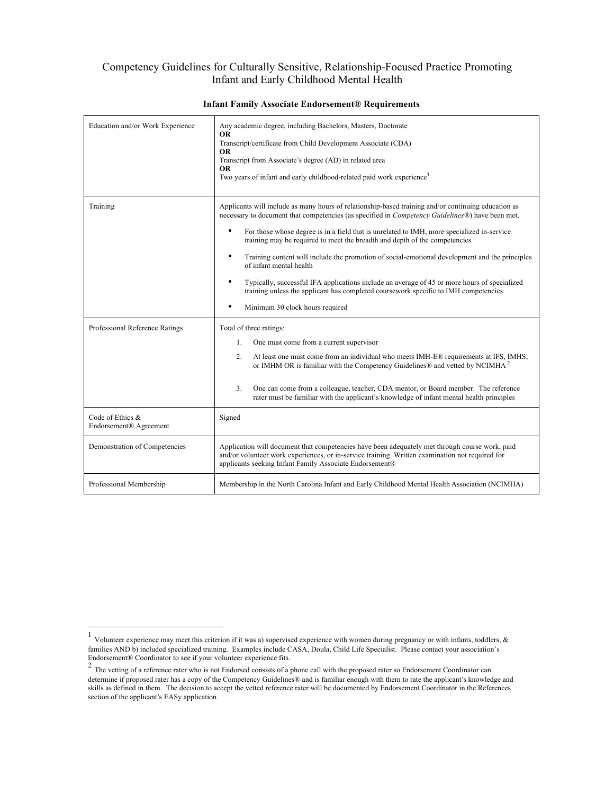## Competency Guidelines for Culturally Sensitive, Relationship-Focused Practice Promoting Infant and Early Childhood Mental Health

| Education and/or Work Experience           | Any academic degree, including Bachelors, Masters, Doctorate<br><b>OR</b><br>Transcript/certificate from Child Development Associate (CDA)<br><b>OR</b><br>Transcript from Associate's degree (AD) in related area<br><b>OR</b><br>Two years of infant and early childhood-related paid work experience <sup>1</sup>                                                                                                                                                                                                                                                                                                                                                                                                                                                          |
|--------------------------------------------|-------------------------------------------------------------------------------------------------------------------------------------------------------------------------------------------------------------------------------------------------------------------------------------------------------------------------------------------------------------------------------------------------------------------------------------------------------------------------------------------------------------------------------------------------------------------------------------------------------------------------------------------------------------------------------------------------------------------------------------------------------------------------------|
| Training                                   | Applicants will include as many hours of relationship-based training and/or continuing education as<br>necessary to document that competencies (as specified in <i>Competency Guidelines®</i> ) have been met.<br>$\bullet$<br>For those whose degree is in a field that is unrelated to IMH, more specialized in-service<br>training may be required to meet the breadth and depth of the competencies<br>٠<br>Training content will include the promotion of social-emotional development and the principles<br>of infant mental health<br>Typically, successful IFA applications include an average of 45 or more hours of specialized<br>٠<br>training unless the applicant has completed coursework specific to IMH competencies<br>٠<br>Minimum 30 clock hours required |
| Professional Reference Ratings             | Total of three ratings:<br>One must come from a current supervisor<br>$1_{-}$<br>2 <sup>1</sup><br>At least one must come from an individual who meets IMH-E® requirements at IFS, IMHS,<br>or IMHM OR is familiar with the Competency Guidelines® and vetted by NCIMHA <sup>2</sup><br>3 <sub>1</sub><br>One can come from a colleague, teacher, CDA mentor, or Board member. The reference<br>rater must be familiar with the applicant's knowledge of infant mental health principles                                                                                                                                                                                                                                                                                      |
| Code of Ethics &<br>Endorsement® Agreement | Signed                                                                                                                                                                                                                                                                                                                                                                                                                                                                                                                                                                                                                                                                                                                                                                        |
| Demonstration of Competencies              | Application will document that competencies have been adequately met through course work, paid<br>and/or volunteer work experiences, or in-service training. Written examination not required for<br>applicants seeking Infant Family Associate Endorsement®                                                                                                                                                                                                                                                                                                                                                                                                                                                                                                                  |
| Professional Membership                    | Membership in the North Carolina Infant and Early Childhood Mental Health Association (NCIMHA)                                                                                                                                                                                                                                                                                                                                                                                                                                                                                                                                                                                                                                                                                |

## **Infant Family Associate Endorsement® Requirements**

 <sup>1</sup> Volunteer experience may meet this criterion if it was a) supervised experience with women during pregnancy or with infants, toddlers, & families AND b) included specialized training. Examples include CASA, Doula, Child Life Specialist. Please contact your association's Endorsement® Coordinator to see if your volunteer experience fits.<br><sup>2</sup> The vetting of a reference rater who is not Endorsed consists of a phone call with the proposed rater so Endorsement Coordinator can

 determine if proposed rater has a copy of the Competency Guidelines® and is familiar enough with them to rate the applicant's knowledge and skills as defined in them. The decision to accept the vetted reference rater will be documented by Endorsement Coordinator in the References section of the applicant's EASy application.